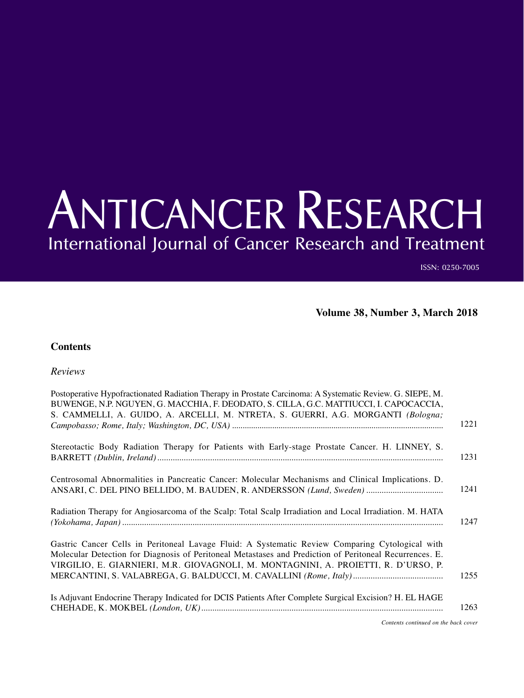## ANTICANCER RESEARCH International Journal of Cancer Research and Treatment

ISSN: 0250-7005

**Volume 38, Number 3, March 2018**

## **Contents**

*Reviews*

| Postoperative Hypofractionated Radiation Therapy in Prostate Carcinoma: A Systematic Review. G. SIEPE, M.<br>BUWENGE, N.P. NGUYEN, G. MACCHIA, F. DEODATO, S. CILLA, G.C. MATTIUCCI, I. CAPOCACCIA,<br>S. CAMMELLI, A. GUIDO, A. ARCELLI, M. NTRETA, S. GUERRI, A.G. MORGANTI (Bologna;          |      |
|--------------------------------------------------------------------------------------------------------------------------------------------------------------------------------------------------------------------------------------------------------------------------------------------------|------|
|                                                                                                                                                                                                                                                                                                  | 1221 |
| Stereotactic Body Radiation Therapy for Patients with Early-stage Prostate Cancer. H. LINNEY, S.                                                                                                                                                                                                 | 1231 |
| Centrosomal Abnormalities in Pancreatic Cancer: Molecular Mechanisms and Clinical Implications. D.<br>ANSARI, C. DEL PINO BELLIDO, M. BAUDEN, R. ANDERSSON (Lund, Sweden)                                                                                                                        | 1241 |
| Radiation Therapy for Angiosarcoma of the Scalp: Total Scalp Irradiation and Local Irradiation. M. HATA                                                                                                                                                                                          | 1247 |
| Gastric Cancer Cells in Peritoneal Lavage Fluid: A Systematic Review Comparing Cytological with<br>Molecular Detection for Diagnosis of Peritoneal Metastases and Prediction of Peritoneal Recurrences. E.<br>VIRGILIO, E. GIARNIERI, M.R. GIOVAGNOLI, M. MONTAGNINI, A. PROIETTI, R. D'URSO, P. |      |
|                                                                                                                                                                                                                                                                                                  | 1255 |
| Is Adjuvant Endocrine Therapy Indicated for DCIS Patients After Complete Surgical Excision? H. EL HAGE                                                                                                                                                                                           | 1263 |
| Contents continued on the hack cover                                                                                                                                                                                                                                                             |      |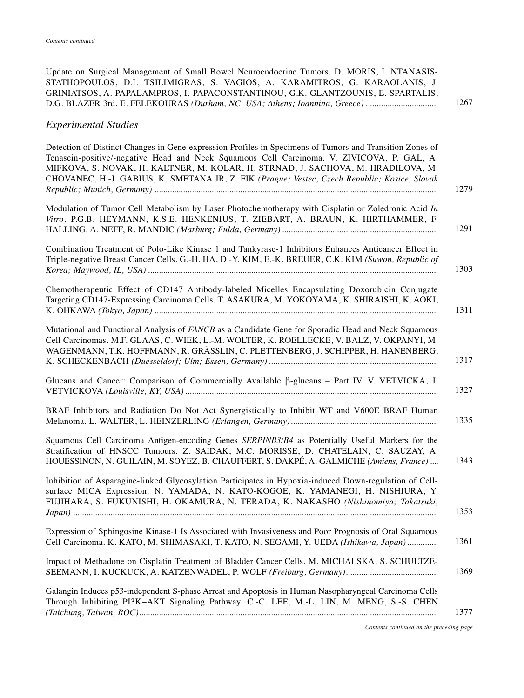| Update on Surgical Management of Small Bowel Neuroendocrine Tumors. D. MORIS, I. NTANASIS-<br>STATHOPOULOS, D.I. TSILIMIGRAS, S. VAGIOS, A. KARAMITROS, G. KARAOLANIS, J.<br>GRINIATSOS, A. PAPALAMPROS, I. PAPACONSTANTINOU, G.K. GLANTZOUNIS, E. SPARTALIS,                                                                                                                               |
|---------------------------------------------------------------------------------------------------------------------------------------------------------------------------------------------------------------------------------------------------------------------------------------------------------------------------------------------------------------------------------------------|
| <b>Experimental Studies</b>                                                                                                                                                                                                                                                                                                                                                                 |
| Detection of Distinct Changes in Gene-expression Profiles in Specimens of Tumors and Transition Zones of<br>Tenascin-positive/-negative Head and Neck Squamous Cell Carcinoma. V. ZIVICOVA, P. GAL, A.<br>MIFKOVA, S. NOVAK, H. KALTNER, M. KOLAR, H. STRNAD, J. SACHOVA, M. HRADILOVA, M.<br>CHOVANEC, H.-J. GABIUS, K. SMETANA JR, Z. FIK (Prague; Vestec, Czech Republic; Kosice, Slovak |
| Modulation of Tumor Cell Metabolism by Laser Photochemotherapy with Cisplatin or Zoledronic Acid In<br>Vitro. P.G.B. HEYMANN, K.S.E. HENKENIUS, T. ZIEBART, A. BRAUN, K. HIRTHAMMER, F.                                                                                                                                                                                                     |
| Combination Treatment of Polo-Like Kinase 1 and Tankyrase-1 Inhibitors Enhances Anticancer Effect in<br>Triple-negative Breast Cancer Cells. G.-H. HA, D.-Y. KIM, E.-K. BREUER, C.K. KIM (Suwon, Republic of                                                                                                                                                                                |
| Chemotherapeutic Effect of CD147 Antibody-labeled Micelles Encapsulating Doxorubicin Conjugate<br>Targeting CD147-Expressing Carcinoma Cells. T. ASAKURA, M. YOKOYAMA, K. SHIRAISHI, K. AOKI,                                                                                                                                                                                               |
| Mutational and Functional Analysis of FANCB as a Candidate Gene for Sporadic Head and Neck Squamous<br>Cell Carcinomas. M.F. GLAAS, C. WIEK, L.-M. WOLTER, K. ROELLECKE, V. BALZ, V. OKPANYI, M.<br>WAGENMANN, T.K. HOFFMANN, R. GRÄSSLIN, C. PLETTENBERG, J. SCHIPPER, H. HANENBERG,                                                                                                       |
| Glucans and Cancer: Comparison of Commercially Available $\beta$ -glucans – Part IV. V. VETVICKA, J.                                                                                                                                                                                                                                                                                        |
| BRAF Inhibitors and Radiation Do Not Act Synergistically to Inhibit WT and V600E BRAF Human                                                                                                                                                                                                                                                                                                 |
| Squamous Cell Carcinoma Antigen-encoding Genes SERPINB3/B4 as Potentially Useful Markers for the<br>Stratification of HNSCC Tumours. Z. SAIDAK, M.C. MORISSE, D. CHATELAIN, C. SAUZAY, A.<br>HOUESSINON, N. GUILAIN, M. SOYEZ, B. CHAUFFERT, S. DAKPÉ, A. GALMICHE (Amiens, France)                                                                                                         |
| Inhibition of Asparagine-linked Glycosylation Participates in Hypoxia-induced Down-regulation of Cell-<br>surface MICA Expression. N. YAMADA, N. KATO-KOGOE, K. YAMANEGI, H. NISHIURA, Y.<br>FUJIHARA, S. FUKUNISHI, H. OKAMURA, N. TERADA, K. NAKASHO (Nishinomiya; Takatsuki,                                                                                                             |
| Expression of Sphingosine Kinase-1 Is Associated with Invasiveness and Poor Prognosis of Oral Squamous<br>Cell Carcinoma. K. KATO, M. SHIMASAKI, T. KATO, N. SEGAMI, Y. UEDA (Ishikawa, Japan)                                                                                                                                                                                              |
| Impact of Methadone on Cisplatin Treatment of Bladder Cancer Cells. M. MICHALSKA, S. SCHULTZE-                                                                                                                                                                                                                                                                                              |
| Galangin Induces p53-independent S-phase Arrest and Apoptosis in Human Nasopharyngeal Carcinoma Cells<br>Through Inhibiting PI3K-AKT Signaling Pathway. C.-C. LEE, M.-L. LIN, M. MENG, S.-S. CHEN                                                                                                                                                                                           |
|                                                                                                                                                                                                                                                                                                                                                                                             |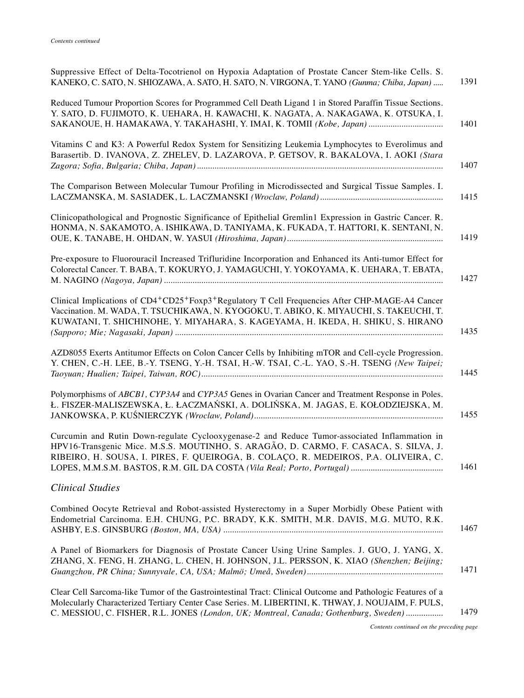| Suppressive Effect of Delta-Tocotrienol on Hypoxia Adaptation of Prostate Cancer Stem-like Cells. S.<br>KANEKO, C. SATO, N. SHIOZAWA, A. SATO, H. SATO, N. VIRGONA, T. YANO (Gunma; Chiba, Japan)                                                                                                         | 1391 |
|-----------------------------------------------------------------------------------------------------------------------------------------------------------------------------------------------------------------------------------------------------------------------------------------------------------|------|
| Reduced Tumour Proportion Scores for Programmed Cell Death Ligand 1 in Stored Paraffin Tissue Sections.<br>Y. SATO, D. FUJIMOTO, K. UEHARA, H. KAWACHI, K. NAGATA, A. NAKAGAWA, K. OTSUKA, I.<br>SAKANOUE, H. HAMAKAWA, Y. TAKAHASHI, Y. IMAI, K. TOMII (Kobe, Japan)                                     | 1401 |
| Vitamins C and K3: A Powerful Redox System for Sensitizing Leukemia Lymphocytes to Everolimus and<br>Barasertib. D. IVANOVA, Z. ZHELEV, D. LAZAROVA, P. GETSOV, R. BAKALOVA, I. AOKI (Stara                                                                                                               | 1407 |
| The Comparison Between Molecular Tumour Profiling in Microdissected and Surgical Tissue Samples. I.                                                                                                                                                                                                       | 1415 |
| Clinicopathological and Prognostic Significance of Epithelial Gremlin1 Expression in Gastric Cancer. R.<br>HONMA, N. SAKAMOTO, A. ISHIKAWA, D. TANIYAMA, K. FUKADA, T. HATTORI, K. SENTANI, N.                                                                                                            | 1419 |
| Pre-exposure to Fluorouracil Increased Trifluridine Incorporation and Enhanced its Anti-tumor Effect for<br>Colorectal Cancer. T. BABA, T. KOKURYO, J. YAMAGUCHI, Y. YOKOYAMA, K. UEHARA, T. EBATA,                                                                                                       | 1427 |
| Clinical Implications of CD4+CD25+Foxp3+Regulatory T Cell Frequencies After CHP-MAGE-A4 Cancer<br>Vaccination. M. WADA, T. TSUCHIKAWA, N. KYOGOKU, T. ABIKO, K. MIYAUCHI, S. TAKEUCHI, T.<br>KUWATANI, T. SHICHINOHE, Y. MIYAHARA, S. KAGEYAMA, H. IKEDA, H. SHIKU, S. HIRANO                             | 1435 |
| AZD8055 Exerts Antitumor Effects on Colon Cancer Cells by Inhibiting mTOR and Cell-cycle Progression.<br>Y. CHEN, C.-H. LEE, B.-Y. TSENG, Y.-H. TSAI, H.-W. TSAI, C.-L. YAO, S.-H. TSENG (New Taipei;                                                                                                     | 1445 |
| Polymorphisms of ABCB1, CYP3A4 and CYP3A5 Genes in Ovarian Cancer and Treatment Response in Poles.<br>Ł. FISZER-MALISZEWSKA, Ł. ŁACZMAŃSKI, A. DOLIŃSKA, M. JAGAS, E. KOŁODZIEJSKA, M.                                                                                                                    | 1455 |
| Curcumin and Rutin Down-regulate Cyclooxygenase-2 and Reduce Tumor-associated Inflammation in<br>HPV16-Transgenic Mice. M.S.S. MOUTINHO, S. ARAGÃO, D. CARMO, F. CASACA, S. SILVA, J.<br>RIBEIRO, H. SOUSA, I. PIRES, F. QUEIROGA, B. COLAÇO, R. MEDEIROS, P.A. OLIVEIRA, C.                              | 1461 |
| <b>Clinical Studies</b>                                                                                                                                                                                                                                                                                   |      |
| Combined Oocyte Retrieval and Robot-assisted Hysterectomy in a Super Morbidly Obese Patient with<br>Endometrial Carcinoma. E.H. CHUNG, P.C. BRADY, K.K. SMITH, M.R. DAVIS, M.G. MUTO, R.K.                                                                                                                | 1467 |
| A Panel of Biomarkers for Diagnosis of Prostate Cancer Using Urine Samples. J. GUO, J. YANG, X.<br>ZHANG, X. FENG, H. ZHANG, L. CHEN, H. JOHNSON, J.L. PERSSON, K. XIAO (Shenzhen; Beijing;                                                                                                               | 1471 |
| Clear Cell Sarcoma-like Tumor of the Gastrointestinal Tract: Clinical Outcome and Pathologic Features of a<br>Molecularly Characterized Tertiary Center Case Series. M. LIBERTINI, K. THWAY, J. NOUJAIM, F. PULS,<br>C. MESSIOU, C. FISHER, R.L. JONES (London, UK; Montreal, Canada; Gothenburg, Sweden) | 1479 |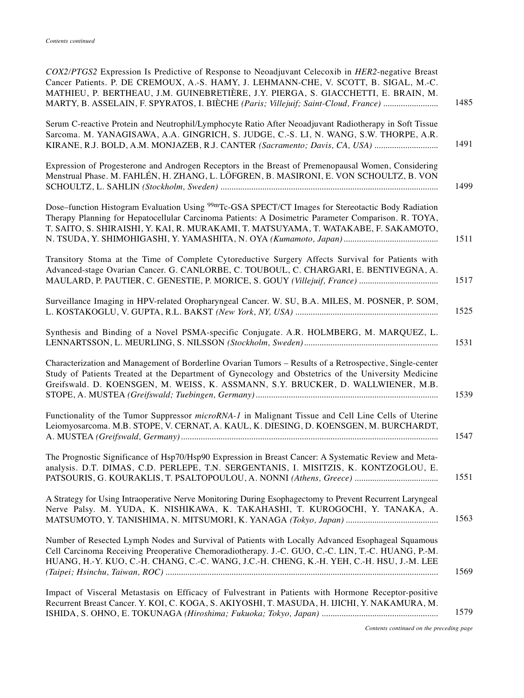| COX2/PTGS2 Expression Is Predictive of Response to Neoadjuvant Celecoxib in HER2-negative Breast<br>Cancer Patients. P. DE CREMOUX, A.-S. HAMY, J. LEHMANN-CHE, V. SCOTT, B. SIGAL, M.-C.<br>MATHIEU, P. BERTHEAU, J.M. GUINEBRETIÈRE, J.Y. PIERGA, S. GIACCHETTI, E. BRAIN, M.<br>1485<br>MARTY, B. ASSELAIN, F. SPYRATOS, I. BIÈCHE (Paris; Villejuif; Saint-Cloud, France) |
|-------------------------------------------------------------------------------------------------------------------------------------------------------------------------------------------------------------------------------------------------------------------------------------------------------------------------------------------------------------------------------|
| Serum C-reactive Protein and Neutrophil/Lymphocyte Ratio After Neoadjuvant Radiotherapy in Soft Tissue<br>Sarcoma. M. YANAGISAWA, A.A. GINGRICH, S. JUDGE, C.-S. LI, N. WANG, S.W. THORPE, A.R.<br>1491<br>KIRANE, R.J. BOLD, A.M. MONJAZEB, R.J. CANTER (Sacramento; Davis, CA, USA)                                                                                         |
| Expression of Progesterone and Androgen Receptors in the Breast of Premenopausal Women, Considering<br>Menstrual Phase. M. FAHLÉN, H. ZHANG, L. LÖFGREN, B. MASIRONI, E. VON SCHOULTZ, B. VON<br>1499                                                                                                                                                                         |
| Dose–function Histogram Evaluation Using <sup>99m</sup> Tc-GSA SPECT/CT Images for Stereotactic Body Radiation<br>Therapy Planning for Hepatocellular Carcinoma Patients: A Dosimetric Parameter Comparison. R. TOYA,<br>T. SAITO, S. SHIRAISHI, Y. KAI, R. MURAKAMI, T. MATSUYAMA, T. WATAKABE, F. SAKAMOTO,<br>1511                                                         |
| Transitory Stoma at the Time of Complete Cytoreductive Surgery Affects Survival for Patients with<br>Advanced-stage Ovarian Cancer. G. CANLORBE, C. TOUBOUL, C. CHARGARI, E. BENTIVEGNA, A.<br>1517                                                                                                                                                                           |
| Surveillance Imaging in HPV-related Oropharyngeal Cancer. W. SU, B.A. MILES, M. POSNER, P. SOM,<br>1525                                                                                                                                                                                                                                                                       |
| Synthesis and Binding of a Novel PSMA-specific Conjugate. A.R. HOLMBERG, M. MARQUEZ, L.<br>1531                                                                                                                                                                                                                                                                               |
| Characterization and Management of Borderline Ovarian Tumors - Results of a Retrospective, Single-center<br>Study of Patients Treated at the Department of Gynecology and Obstetrics of the University Medicine<br>Greifswald. D. KOENSGEN, M. WEISS, K. ASSMANN, S.Y. BRUCKER, D. WALLWIENER, M.B.<br>1539                                                                   |
| Functionality of the Tumor Suppressor microRNA-1 in Malignant Tissue and Cell Line Cells of Uterine<br>Leiomyosarcoma. M.B. STOPE, V. CERNAT, A. KAUL, K. DIESING, D. KOENSGEN, M. BURCHARDT,<br>1547                                                                                                                                                                         |
| The Prognostic Significance of Hsp70/Hsp90 Expression in Breast Cancer: A Systematic Review and Meta-<br>analysis. D.T. DIMAS, C.D. PERLEPE, T.N. SERGENTANIS, I. MISITZIS, K. KONTZOGLOU, E.<br>1551                                                                                                                                                                         |
| A Strategy for Using Intraoperative Nerve Monitoring During Esophagectomy to Prevent Recurrent Laryngeal<br>Nerve Palsy. M. YUDA, K. NISHIKAWA, K. TAKAHASHI, T. KUROGOCHI, Y. TANAKA, A.<br>1563                                                                                                                                                                             |
| Number of Resected Lymph Nodes and Survival of Patients with Locally Advanced Esophageal Squamous<br>Cell Carcinoma Receiving Preoperative Chemoradiotherapy. J.-C. GUO, C.-C. LIN, T.-C. HUANG, P.-M.<br>HUANG, H.-Y. KUO, C.-H. CHANG, C.-C. WANG, J.C.-H. CHENG, K.-H. YEH, C.-H. HSU, J.-M. LEE<br>1569                                                                   |
| Impact of Visceral Metastasis on Efficacy of Fulvestrant in Patients with Hormone Receptor-positive<br>Recurrent Breast Cancer. Y. KOI, C. KOGA, S. AKIYOSHI, T. MASUDA, H. IJICHI, Y. NAKAMURA, M.<br>1579                                                                                                                                                                   |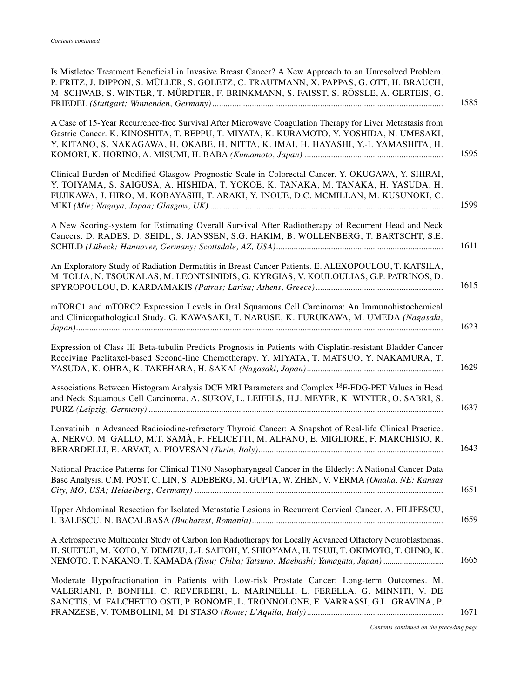| Is Mistletoe Treatment Beneficial in Invasive Breast Cancer? A New Approach to an Unresolved Problem.<br>P. FRITZ, J. DIPPON, S. MÜLLER, S. GOLETZ, C. TRAUTMANN, X. PAPPAS, G. OTT, H. BRAUCH,<br>M. SCHWAB, S. WINTER, T. MÜRDTER, F. BRINKMANN, S. FAISST, S. RÖSSLE, A. GERTEIS, G.<br>1585       |
|-------------------------------------------------------------------------------------------------------------------------------------------------------------------------------------------------------------------------------------------------------------------------------------------------------|
| A Case of 15-Year Recurrence-free Survival After Microwave Coagulation Therapy for Liver Metastasis from<br>Gastric Cancer. K. KINOSHITA, T. BEPPU, T. MIYATA, K. KURAMOTO, Y. YOSHIDA, N. UMESAKI,<br>Y. KITANO, S. NAKAGAWA, H. OKABE, H. NITTA, K. IMAI, H. HAYASHI, Y.-I. YAMASHITA, H.<br>1595   |
| Clinical Burden of Modified Glasgow Prognostic Scale in Colorectal Cancer. Y. OKUGAWA, Y. SHIRAI,<br>Y. TOIYAMA, S. SAIGUSA, A. HISHIDA, T. YOKOE, K. TANAKA, M. TANAKA, H. YASUDA, H.<br>FUJIKAWA, J. HIRO, M. KOBAYASHI, T. ARAKI, Y. INOUE, D.C. MCMILLAN, M. KUSUNOKI, C.<br>1599                 |
| A New Scoring-system for Estimating Overall Survival After Radiotherapy of Recurrent Head and Neck<br>Cancers. D. RADES, D. SEIDL, S. JANSSEN, S.G. HAKIM, B. WOLLENBERG, T. BARTSCHT, S.E.<br>1611                                                                                                   |
| An Exploratory Study of Radiation Dermatitis in Breast Cancer Patients. E. ALEXOPOULOU, T. KATSILA,<br>M. TOLIA, N. TSOUKALAS, M. LEONTSINIDIS, G. KYRGIAS, V. KOULOULIAS, G.P. PATRINOS, D.<br>1615                                                                                                  |
| mTORC1 and mTORC2 Expression Levels in Oral Squamous Cell Carcinoma: An Immunohistochemical<br>and Clinicopathological Study. G. KAWASAKI, T. NARUSE, K. FURUKAWA, M. UMEDA (Nagasaki,<br>1623                                                                                                        |
| Expression of Class III Beta-tubulin Predicts Prognosis in Patients with Cisplatin-resistant Bladder Cancer<br>Receiving Paclitaxel-based Second-line Chemotherapy. Y. MIYATA, T. MATSUO, Y. NAKAMURA, T.<br>1629                                                                                     |
| Associations Between Histogram Analysis DCE MRI Parameters and Complex <sup>18</sup> F-FDG-PET Values in Head<br>and Neck Squamous Cell Carcinoma. A. SUROV, L. LEIFELS, H.J. MEYER, K. WINTER, O. SABRI, S.<br>1637                                                                                  |
| Lenvatinib in Advanced Radioiodine-refractory Thyroid Cancer: A Snapshot of Real-life Clinical Practice.<br>A. NERVO, M. GALLO, M.T. SAMÀ, F. FELICETTI, M. ALFANO, E. MIGLIORE, F. MARCHISIO, R.<br>1643                                                                                             |
| National Practice Patterns for Clinical T1N0 Nasopharyngeal Cancer in the Elderly: A National Cancer Data<br>Base Analysis. C.M. POST, C. LIN, S. ADEBERG, M. GUPTA, W. ZHEN, V. VERMA (Omaha, NE; Kansas<br>1651                                                                                     |
| Upper Abdominal Resection for Isolated Metastatic Lesions in Recurrent Cervical Cancer. A. FILIPESCU,<br>1659                                                                                                                                                                                         |
| A Retrospective Multicenter Study of Carbon Ion Radiotherapy for Locally Advanced Olfactory Neuroblastomas.<br>H. SUEFUJI, M. KOTO, Y. DEMIZU, J.-I. SAITOH, Y. SHIOYAMA, H. TSUJI, T. OKIMOTO, T. OHNO, K.<br>1665<br>NEMOTO, T. NAKANO, T. KAMADA (Tosu; Chiba; Tatsuno; Maebashi; Yamagata, Japan) |
| Moderate Hypofractionation in Patients with Low-risk Prostate Cancer: Long-term Outcomes. M.<br>VALERIANI, P. BONFILI, C. REVERBERI, L. MARINELLI, L. FERELLA, G. MINNITI, V. DE<br>SANCTIS, M. FALCHETTO OSTI, P. BONOME, L. TRONNOLONE, E. VARRASSI, G.L. GRAVINA, P.<br>1671                       |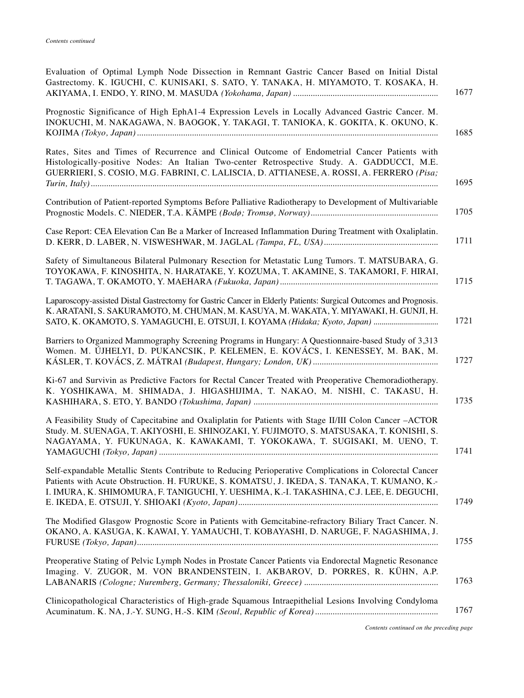| Evaluation of Optimal Lymph Node Dissection in Remnant Gastric Cancer Based on Initial Distal<br>Gastrectomy. K. IGUCHI, C. KUNISAKI, S. SATO, Y. TANAKA, H. MIYAMOTO, T. KOSAKA, H.<br>1677                                                                                                               |
|------------------------------------------------------------------------------------------------------------------------------------------------------------------------------------------------------------------------------------------------------------------------------------------------------------|
| Prognostic Significance of High EphA1-4 Expression Levels in Locally Advanced Gastric Cancer. M.<br>INOKUCHI, M. NAKAGAWA, N. BAOGOK, Y. TAKAGI, T. TANIOKA, K. GOKITA, K. OKUNO, K.<br>1685                                                                                                               |
| Rates, Sites and Times of Recurrence and Clinical Outcome of Endometrial Cancer Patients with<br>Histologically-positive Nodes: An Italian Two-center Retrospective Study. A. GADDUCCI, M.E.<br>GUERRIERI, S. COSIO, M.G. FABRINI, C. LALISCIA, D. ATTIANESE, A. ROSSI, A. FERRERO (Pisa;<br>1695          |
| Contribution of Patient-reported Symptoms Before Palliative Radiotherapy to Development of Multivariable<br>1705                                                                                                                                                                                           |
| Case Report: CEA Elevation Can Be a Marker of Increased Inflammation During Treatment with Oxaliplatin.<br>1711                                                                                                                                                                                            |
| Safety of Simultaneous Bilateral Pulmonary Resection for Metastatic Lung Tumors. T. MATSUBARA, G.<br>TOYOKAWA, F. KINOSHITA, N. HARATAKE, Y. KOZUMA, T. AKAMINE, S. TAKAMORI, F. HIRAI,<br>1715                                                                                                            |
| Laparoscopy-assisted Distal Gastrectomy for Gastric Cancer in Elderly Patients: Surgical Outcomes and Prognosis.<br>K. ARATANI, S. SAKURAMOTO, M. CHUMAN, M. KASUYA, M. WAKATA, Y. MIYAWAKI, H. GUNJI, H.<br>1721<br>SATO, K. OKAMOTO, S. YAMAGUCHI, E. OTSUJI, I. KOYAMA (Hidaka; Kyoto, Japan)           |
| Barriers to Organized Mammography Screening Programs in Hungary: A Questionnaire-based Study of 3,313<br>Women. M. ÚJHELYI, D. PUKANCSIK, P. KELEMEN, E. KOVÁCS, I. KENESSEY, M. BAK, M.<br>1727                                                                                                           |
| Ki-67 and Survivin as Predictive Factors for Rectal Cancer Treated with Preoperative Chemoradiotherapy.<br>K. YOSHIKAWA, M. SHIMADA, J. HIGASHIJIMA, T. NAKAO, M. NISHI, C. TAKASU, H.<br>1735                                                                                                             |
| A Feasibility Study of Capecitabine and Oxaliplatin for Patients with Stage II/III Colon Cancer -ACTOR<br>Study. M. SUENAGA, T. AKIYOSHI, E. SHINOZAKI, Y. FUJIMOTO, S. MATSUSAKA, T. KONISHI, S.<br>NAGAYAMA, Y. FUKUNAGA, K. KAWAKAMI, T. YOKOKAWA, T. SUGISAKI, M. UENO, T.<br>1741                     |
| Self-expandable Metallic Stents Contribute to Reducing Perioperative Complications in Colorectal Cancer<br>Patients with Acute Obstruction. H. FURUKE, S. KOMATSU, J. IKEDA, S. TANAKA, T. KUMANO, K.-<br>I. IMURA, K. SHIMOMURA, F. TANIGUCHI, Y. UESHIMA, K.-I. TAKASHINA, C.J. LEE, E. DEGUCHI,<br>1749 |
| The Modified Glasgow Prognostic Score in Patients with Gemcitabine-refractory Biliary Tract Cancer. N.<br>OKANO, A. KASUGA, K. KAWAI, Y. YAMAUCHI, T. KOBAYASHI, D. NARUGE, F. NAGASHIMA, J.<br>1755                                                                                                       |
| Preoperative Stating of Pelvic Lymph Nodes in Prostate Cancer Patients via Endorectal Magnetic Resonance<br>Imaging. V. ZUGOR, M. VON BRANDENSTEIN, I. AKBAROV, D. PORRES, R. KÜHN, A.P.<br>1763                                                                                                           |
| Clinicopathological Characteristics of High-grade Squamous Intraepithelial Lesions Involving Condyloma<br>1767                                                                                                                                                                                             |